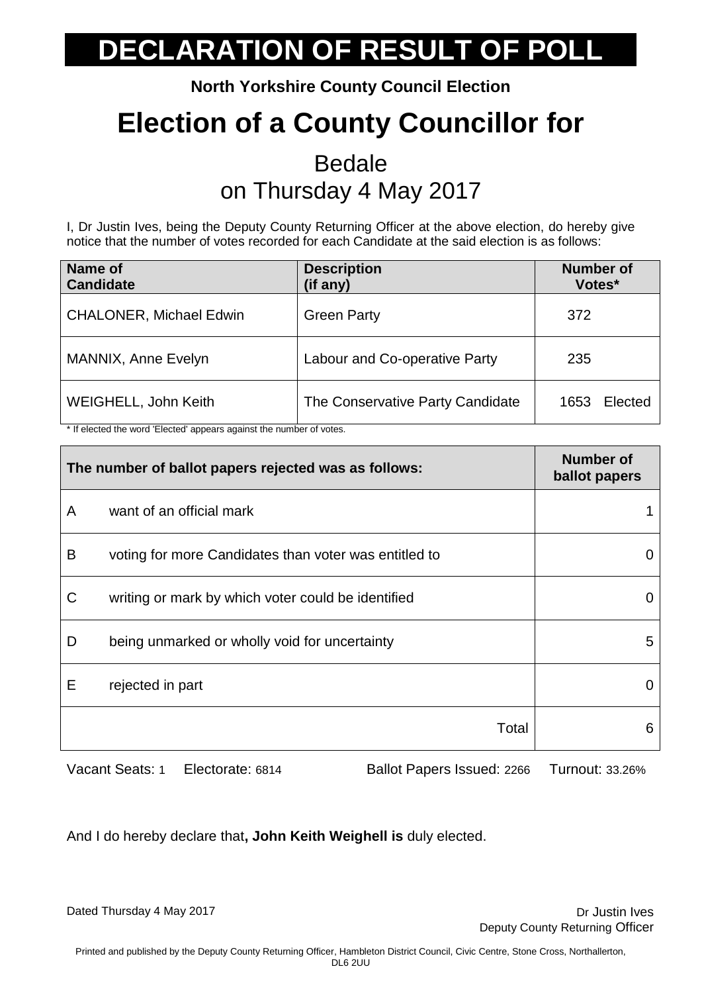**North Yorkshire County Council Election**

## **Election of a County Councillor for**

#### **Bedale** on Thursday 4 May 2017

I, Dr Justin Ives, being the Deputy County Returning Officer at the above election, do hereby give notice that the number of votes recorded for each Candidate at the said election is as follows:

| Name of<br><b>Candidate</b>    | <b>Description</b><br>(if any)   | <b>Number of</b><br>Votes* |
|--------------------------------|----------------------------------|----------------------------|
| <b>CHALONER, Michael Edwin</b> | <b>Green Party</b>               | 372                        |
| <b>MANNIX, Anne Evelyn</b>     | Labour and Co-operative Party    | 235                        |
| WEIGHELL, John Keith           | The Conservative Party Candidate | Elected<br>1653            |

\* If elected the word 'Elected' appears against the number of votes.

| The number of ballot papers rejected was as follows: |                                                       | <b>Number of</b><br>ballot papers |
|------------------------------------------------------|-------------------------------------------------------|-----------------------------------|
| A                                                    | want of an official mark                              |                                   |
| B                                                    | voting for more Candidates than voter was entitled to |                                   |
| C                                                    | writing or mark by which voter could be identified    | O                                 |
| D                                                    | being unmarked or wholly void for uncertainty         | 5                                 |
| E                                                    | rejected in part                                      |                                   |
|                                                      | Total                                                 | 6                                 |

Vacant Seats: 1 Electorate: 6814 Ballot Papers Issued: 2266 Turnout: 33.26%

And I do hereby declare that**, John Keith Weighell is** duly elected.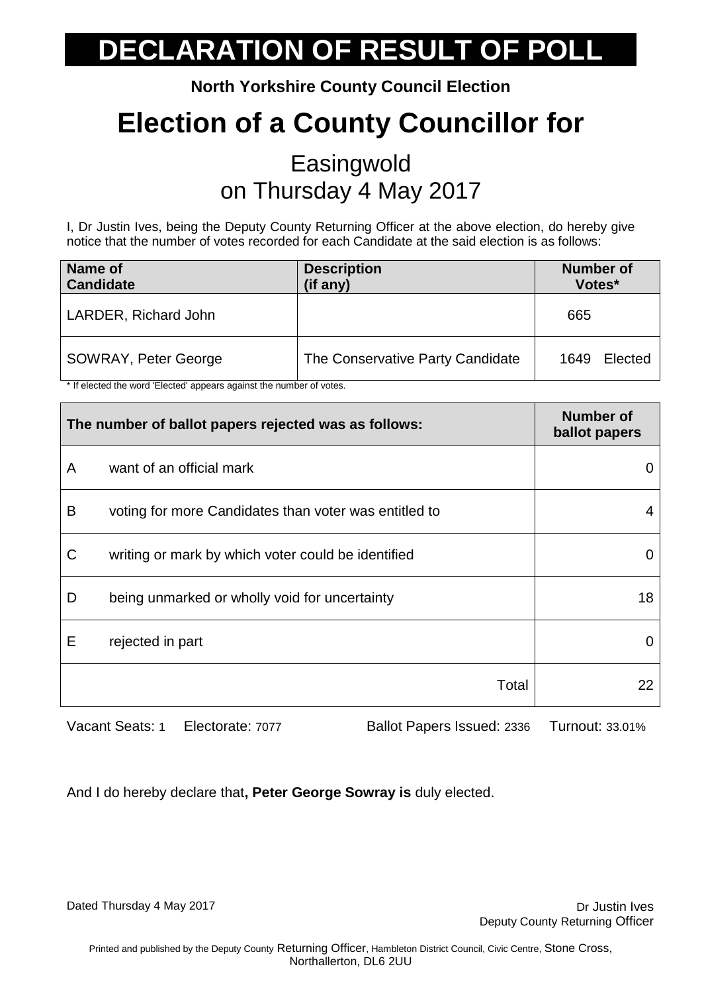**North Yorkshire County Council Election**

## **Election of a County Councillor for**

#### **Easingwold** on Thursday 4 May 2017

I, Dr Justin Ives, being the Deputy County Returning Officer at the above election, do hereby give notice that the number of votes recorded for each Candidate at the said election is as follows:

| Name of<br><b>Candidate</b> | <b>Description</b><br>(if any)   | <b>Number of</b><br>Votes* |
|-----------------------------|----------------------------------|----------------------------|
| LARDER, Richard John        |                                  | 665                        |
| <b>SOWRAY, Peter George</b> | The Conservative Party Candidate | Elected<br>1649            |

\* If elected the word 'Elected' appears against the number of votes.

| The number of ballot papers rejected was as follows: |                                                       | <b>Number of</b><br>ballot papers |
|------------------------------------------------------|-------------------------------------------------------|-----------------------------------|
| A                                                    | want of an official mark                              |                                   |
| B                                                    | voting for more Candidates than voter was entitled to |                                   |
| C                                                    | writing or mark by which voter could be identified    |                                   |
| D                                                    | being unmarked or wholly void for uncertainty         | 18                                |
| Е                                                    | rejected in part                                      |                                   |
|                                                      | Total                                                 | 22                                |

Vacant Seats: 1 Electorate: 7077 Ballot Papers Issued: 2336 Turnout: 33.01%

And I do hereby declare that**, Peter George Sowray is** duly elected.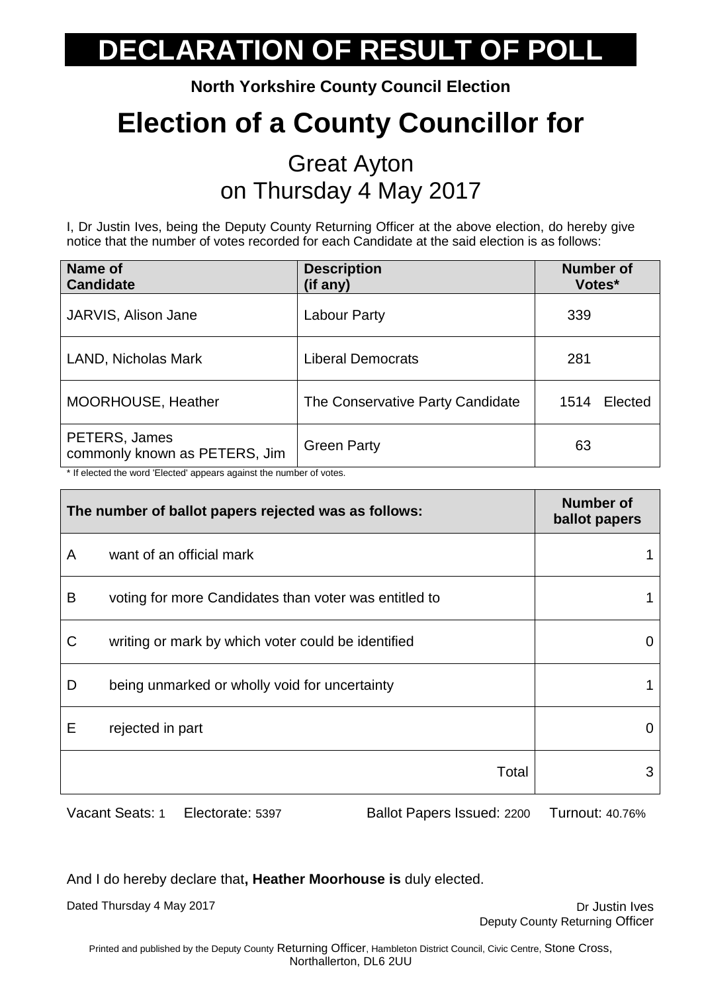**North Yorkshire County Council Election**

## **Election of a County Councillor for**

#### Great Ayton on Thursday 4 May 2017

I, Dr Justin Ives, being the Deputy County Returning Officer at the above election, do hereby give notice that the number of votes recorded for each Candidate at the said election is as follows:

| Name of<br><b>Candidate</b>                                                                                           | <b>Description</b><br>(if any)   | <b>Number of</b><br>Votes* |
|-----------------------------------------------------------------------------------------------------------------------|----------------------------------|----------------------------|
| JARVIS, Alison Jane                                                                                                   | Labour Party                     | 339                        |
| LAND, Nicholas Mark                                                                                                   | <b>Liberal Democrats</b>         | 281                        |
| MOORHOUSE, Heather                                                                                                    | The Conservative Party Candidate | Elected<br>1514            |
| PETERS, James<br>commonly known as PETERS, Jim<br>* If elected the word 'Elected' appears against the number of votes | <b>Green Party</b>               | 63                         |

\* If elected the word 'Elected' appears against the number of votes.

| The number of ballot papers rejected was as follows: |                                                       | <b>Number of</b><br>ballot papers |
|------------------------------------------------------|-------------------------------------------------------|-----------------------------------|
| A                                                    | want of an official mark                              |                                   |
| B                                                    | voting for more Candidates than voter was entitled to |                                   |
| C                                                    | writing or mark by which voter could be identified    |                                   |
| D                                                    | being unmarked or wholly void for uncertainty         |                                   |
| Е                                                    | rejected in part                                      |                                   |
|                                                      | Total                                                 | 3                                 |

Vacant Seats: 1 Electorate: 5397 Ballot Papers Issued: 2200 Turnout: 40.76%

And I do hereby declare that**, Heather Moorhouse is** duly elected.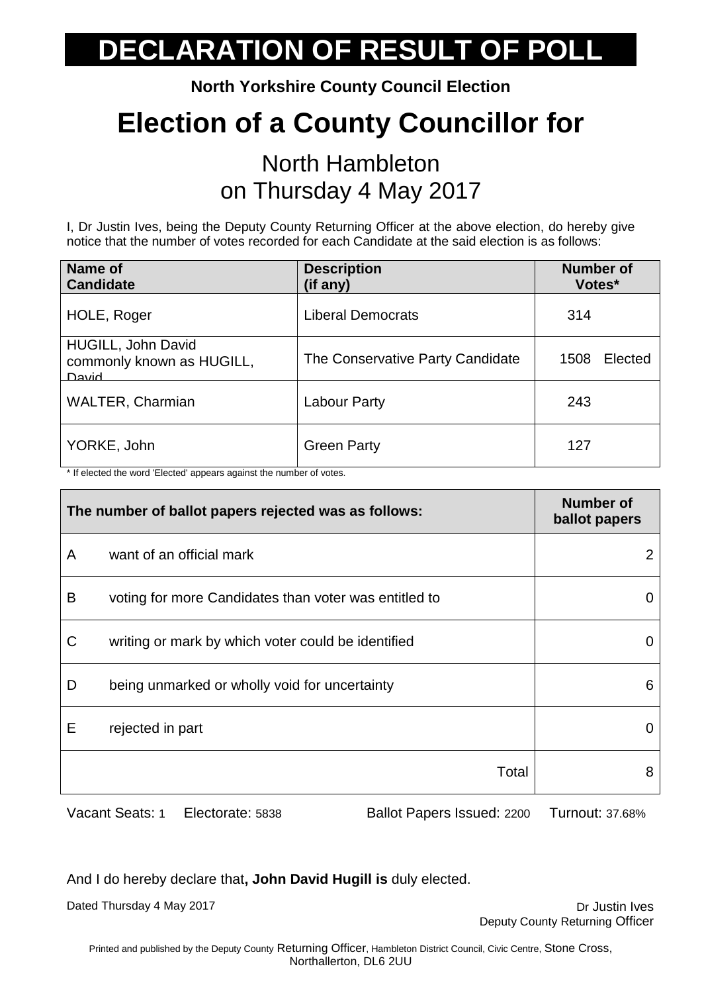**North Yorkshire County Council Election**

## **Election of a County Councillor for**

#### North Hambleton on Thursday 4 May 2017

I, Dr Justin Ives, being the Deputy County Returning Officer at the above election, do hereby give notice that the number of votes recorded for each Candidate at the said election is as follows:

| Name of<br><b>Candidate</b>                                     | <b>Description</b><br>(if any)   | <b>Number of</b><br>Votes* |
|-----------------------------------------------------------------|----------------------------------|----------------------------|
| HOLE, Roger                                                     | <b>Liberal Democrats</b>         | 314                        |
| HUGILL, John David<br>commonly known as HUGILL,<br><b>David</b> | The Conservative Party Candidate | Elected<br>1508            |
| <b>WALTER, Charmian</b>                                         | Labour Party                     | 243                        |
| YORKE, John                                                     | <b>Green Party</b>               | 127                        |

\* If elected the word 'Elected' appears against the number of votes.

| The number of ballot papers rejected was as follows: |                                                       | <b>Number of</b><br>ballot papers |
|------------------------------------------------------|-------------------------------------------------------|-----------------------------------|
| A                                                    | want of an official mark                              |                                   |
| B                                                    | voting for more Candidates than voter was entitled to | 0                                 |
| C                                                    | writing or mark by which voter could be identified    |                                   |
| D                                                    | being unmarked or wholly void for uncertainty         | 6                                 |
| Е                                                    | rejected in part                                      |                                   |
|                                                      | Total                                                 | 8                                 |

Vacant Seats: 1 Electorate: 5838 Ballot Papers Issued: 2200 Turnout: 37.68%

And I do hereby declare that**, John David Hugill is** duly elected.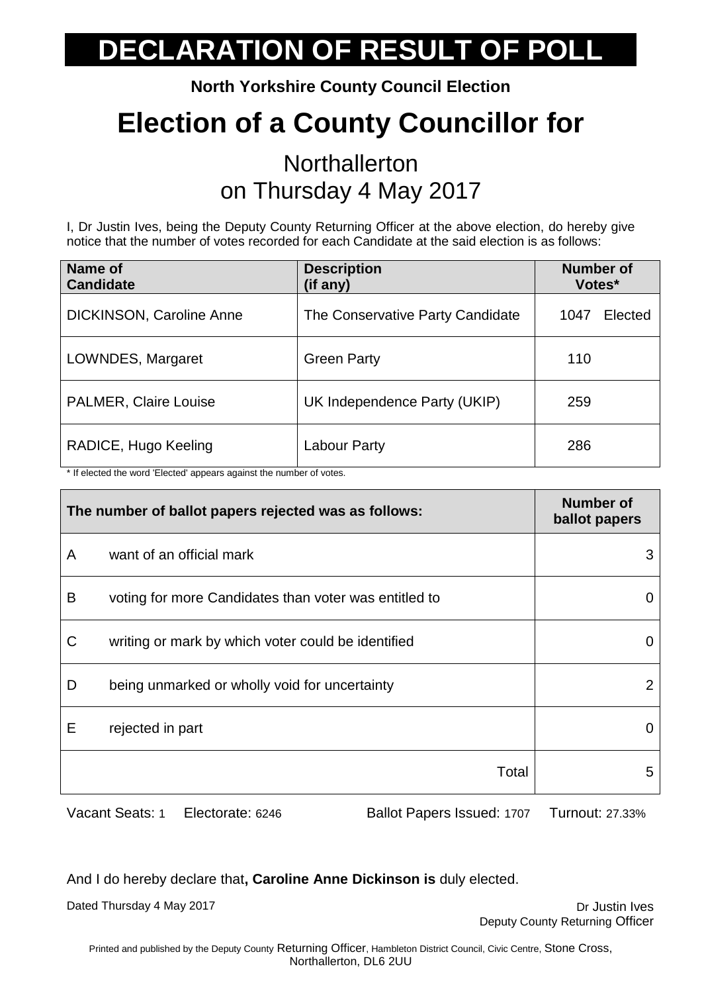**North Yorkshire County Council Election**

## **Election of a County Councillor for**

#### **Northallerton** on Thursday 4 May 2017

I, Dr Justin Ives, being the Deputy County Returning Officer at the above election, do hereby give notice that the number of votes recorded for each Candidate at the said election is as follows:

| Name of<br><b>Candidate</b>  | <b>Description</b><br>(if any)   | <b>Number of</b><br>Votes* |
|------------------------------|----------------------------------|----------------------------|
| DICKINSON, Caroline Anne     | The Conservative Party Candidate | Elected<br>1047            |
| LOWNDES, Margaret            | <b>Green Party</b>               | 110                        |
| <b>PALMER, Claire Louise</b> | UK Independence Party (UKIP)     | 259                        |
| RADICE, Hugo Keeling         | Labour Party                     | 286                        |

\* If elected the word 'Elected' appears against the number of votes.

| The number of ballot papers rejected was as follows: |                                                       | <b>Number of</b><br>ballot papers |
|------------------------------------------------------|-------------------------------------------------------|-----------------------------------|
| A                                                    | want of an official mark                              | 3                                 |
| B                                                    | voting for more Candidates than voter was entitled to | 0                                 |
| C                                                    | writing or mark by which voter could be identified    | $\Omega$                          |
| D                                                    | being unmarked or wholly void for uncertainty         | 2                                 |
| Е                                                    | rejected in part                                      | 0                                 |
|                                                      | Total                                                 | 5                                 |

Vacant Seats: 1 Electorate: 6246 Ballot Papers Issued: 1707 Turnout: 27.33%

And I do hereby declare that**, Caroline Anne Dickinson is** duly elected.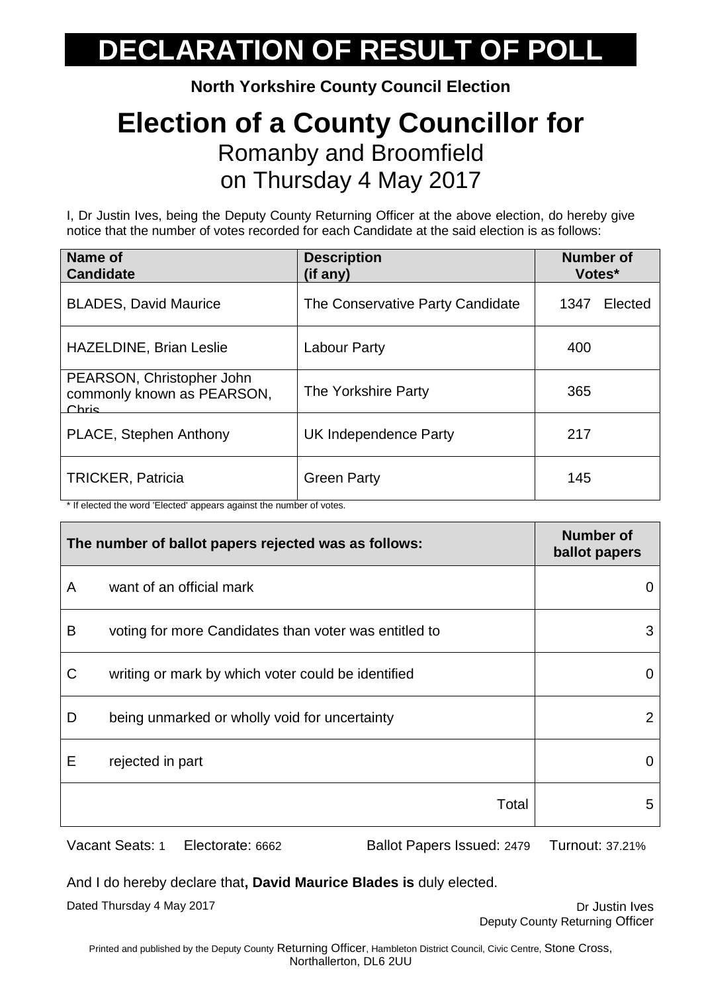**North Yorkshire County Council Election**

#### **Election of a County Councillor for** Romanby and Broomfield on Thursday 4 May 2017

I, Dr Justin Ives, being the Deputy County Returning Officer at the above election, do hereby give notice that the number of votes recorded for each Candidate at the said election is as follows:

| Name of<br><b>Candidate</b>                                                                      | <b>Description</b><br>(if any)   | <b>Number of</b><br>Votes* |
|--------------------------------------------------------------------------------------------------|----------------------------------|----------------------------|
| <b>BLADES, David Maurice</b>                                                                     | The Conservative Party Candidate | 1347<br>Elected            |
| <b>HAZELDINE, Brian Leslie</b>                                                                   | Labour Party                     | 400                        |
| PEARSON, Christopher John<br>commonly known as PEARSON,<br>Chris                                 | The Yorkshire Party              | 365                        |
| PLACE, Stephen Anthony                                                                           | UK Independence Party            | 217                        |
| <b>TRICKER, Patricia</b><br>the protected the word 'Elected' concern capinat the number of yotan | <b>Green Party</b>               | 145                        |

If elected the word 'Elected' appears against the number of votes.

| The number of ballot papers rejected was as follows: |                                                       | <b>Number of</b><br>ballot papers |
|------------------------------------------------------|-------------------------------------------------------|-----------------------------------|
| A                                                    | want of an official mark                              | $\Omega$                          |
| B                                                    | voting for more Candidates than voter was entitled to | 3                                 |
| C                                                    | writing or mark by which voter could be identified    | 0                                 |
| D                                                    | being unmarked or wholly void for uncertainty         | 2                                 |
| E                                                    | rejected in part                                      | 0                                 |
|                                                      | Total                                                 | 5                                 |
|                                                      |                                                       |                                   |

Vacant Seats: 1 Electorate: 6662 Ballot Papers Issued: 2479 Turnout: 37.21%

And I do hereby declare that**, David Maurice Blades is** duly elected.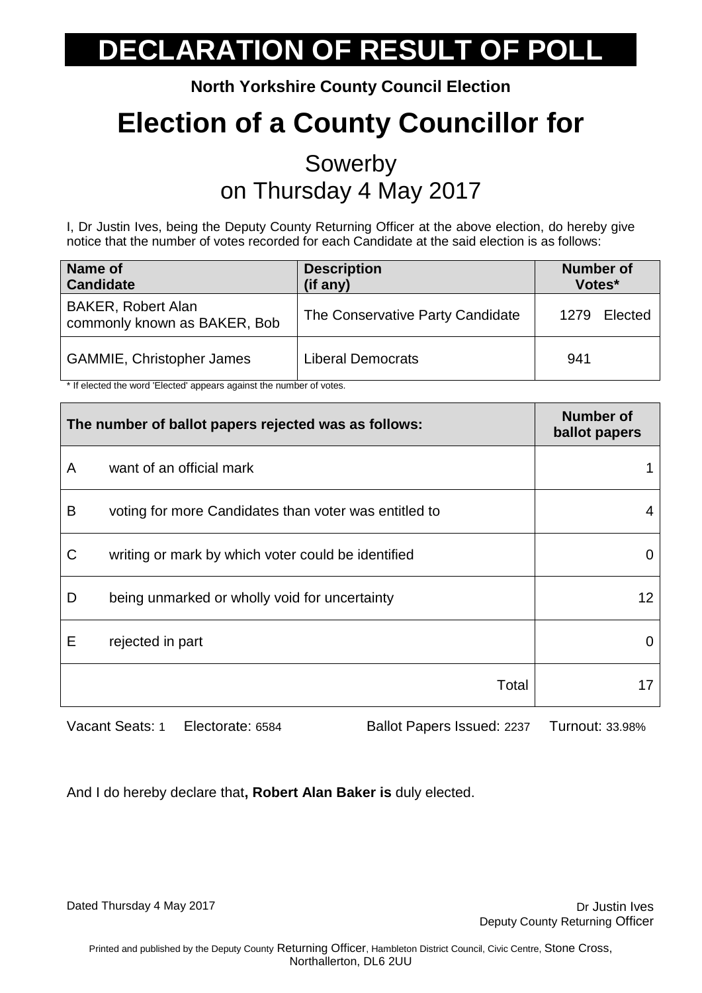**North Yorkshire County Council Election**

## **Election of a County Councillor for**

#### Sowerby on Thursday 4 May 2017

I, Dr Justin Ives, being the Deputy County Returning Officer at the above election, do hereby give notice that the number of votes recorded for each Candidate at the said election is as follows:

| Name of<br><b>Candidate</b>                               | <b>Description</b><br>(if any)   | <b>Number of</b><br>Votes* |
|-----------------------------------------------------------|----------------------------------|----------------------------|
| <b>BAKER, Robert Alan</b><br>commonly known as BAKER, Bob | The Conservative Party Candidate | Elected<br>1279            |
| <b>GAMMIE, Christopher James</b>                          | Liberal Democrats                | 941                        |

\* If elected the word 'Elected' appears against the number of votes.

| The number of ballot papers rejected was as follows: |                                                       | <b>Number of</b><br>ballot papers |
|------------------------------------------------------|-------------------------------------------------------|-----------------------------------|
| A                                                    | want of an official mark                              |                                   |
| B                                                    | voting for more Candidates than voter was entitled to |                                   |
| C                                                    | writing or mark by which voter could be identified    |                                   |
| D                                                    | being unmarked or wholly void for uncertainty         | 12                                |
| E                                                    | rejected in part                                      |                                   |
|                                                      | Total                                                 |                                   |

Vacant Seats: 1 Electorate: 6584 Ballot Papers Issued: 2237 Turnout: 33.98%

And I do hereby declare that**, Robert Alan Baker is** duly elected.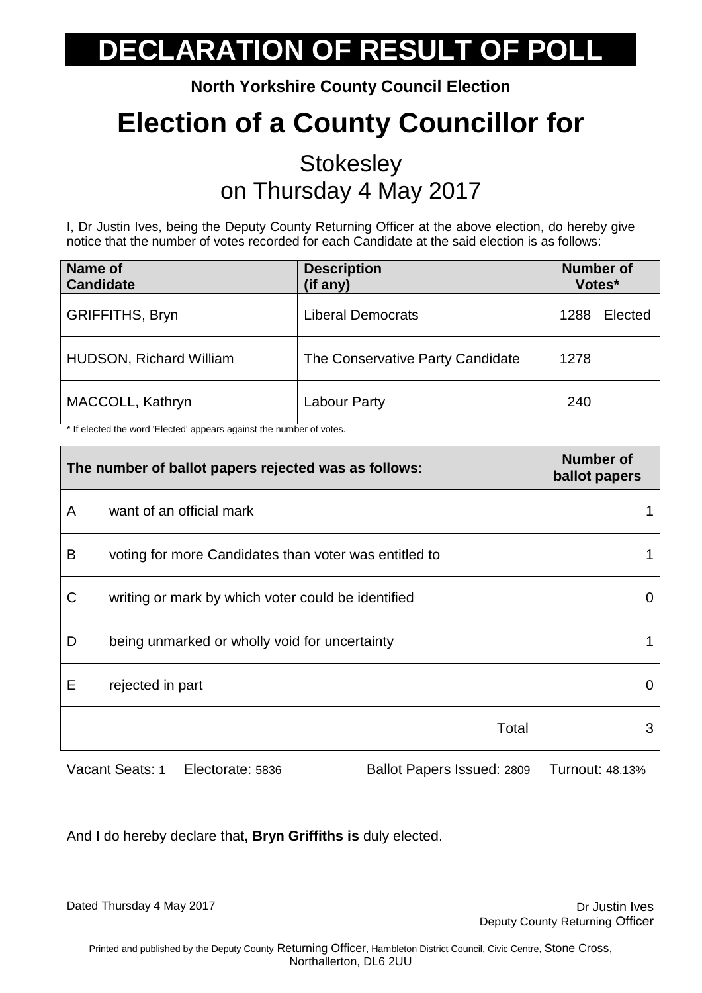**North Yorkshire County Council Election**

## **Election of a County Councillor for**

#### **Stokesley** on Thursday 4 May 2017

I, Dr Justin Ives, being the Deputy County Returning Officer at the above election, do hereby give notice that the number of votes recorded for each Candidate at the said election is as follows:

| Name of<br><b>Candidate</b>    | <b>Description</b><br>(if any)   | <b>Number of</b><br>Votes* |
|--------------------------------|----------------------------------|----------------------------|
| <b>GRIFFITHS, Bryn</b>         | Liberal Democrats                | Elected<br>1288            |
| <b>HUDSON, Richard William</b> | The Conservative Party Candidate | 1278                       |
| MACCOLL, Kathryn               | Labour Party                     | 240                        |

\* If elected the word 'Elected' appears against the number of votes.

| The number of ballot papers rejected was as follows: |                                                       | <b>Number of</b><br>ballot papers |
|------------------------------------------------------|-------------------------------------------------------|-----------------------------------|
| A                                                    | want of an official mark                              |                                   |
| B                                                    | voting for more Candidates than voter was entitled to |                                   |
| C                                                    | writing or mark by which voter could be identified    |                                   |
| D                                                    | being unmarked or wholly void for uncertainty         |                                   |
| Е                                                    | rejected in part                                      |                                   |
|                                                      | Total                                                 | 3                                 |

Vacant Seats: 1 Electorate: 5836 Ballot Papers Issued: 2809 Turnout: 48.13%

And I do hereby declare that**, Bryn Griffiths is** duly elected.